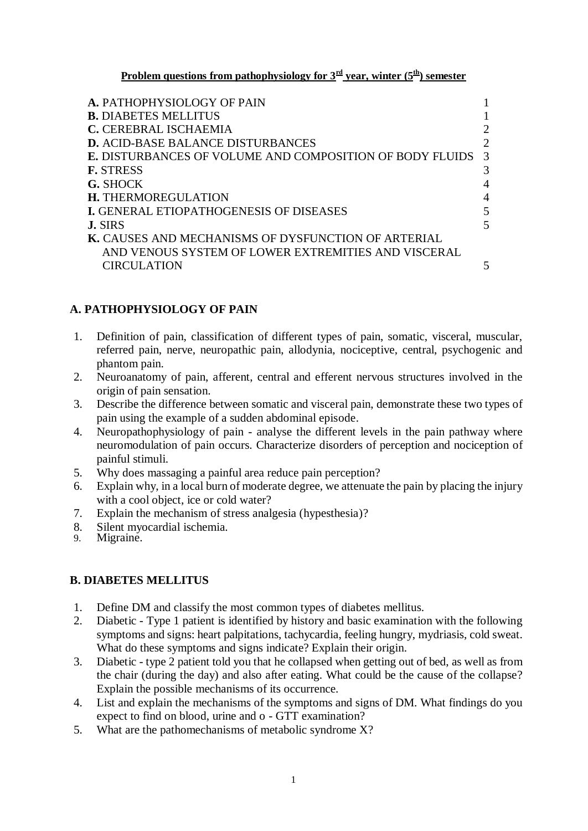**Problem questions from pathophysiology for**  $3<sup>rd</sup>$  **<b>year, winter** ( $5<sup>th</sup>$ ) semester

| 2                           |
|-----------------------------|
| $\mathcal{D}_{\mathcal{L}}$ |
| $\mathcal{R}$               |
| 3                           |
| 4                           |
| 4                           |
| 5                           |
| 5                           |
|                             |
|                             |
|                             |
|                             |

### **A. PATHOPHYSIOLOGY OF PAIN**

- 1. Definition of pain, classification of different types of pain, somatic, visceral, muscular, referred pain, nerve, neuropathic pain, allodynia, nociceptive, central, psychogenic and phantom pain.
- 2. Neuroanatomy of pain, afferent, central and efferent nervous structures involved in the origin of pain sensation.
- 3. Describe the difference between somatic and visceral pain, demonstrate these two types of pain using the example of a sudden abdominal episode.
- 4. Neuropathophysiology of pain analyse the different levels in the pain pathway where neuromodulation of pain occurs. Characterize disorders of perception and nociception of painful stimuli.
- 5. Why does massaging a painful area reduce pain perception?
- 6. Explain why, in a local burn of moderate degree, we attenuate the pain by placing the injury with a cool object, ice or cold water?
- 7. Explain the mechanism of stress analgesia (hypesthesia)?
- 8. Silent myocardial ischemia.<br>9. Migraine
- Migraine.

### **B. DIABETES MELLITUS**

- 1. Define DM and classify the most common types of diabetes mellitus.
- 2. Diabetic Type 1 patient is identified by history and basic examination with the following symptoms and signs: heart palpitations, tachycardia, feeling hungry, mydriasis, cold sweat. What do these symptoms and signs indicate? Explain their origin.
- 3. Diabetic type 2 patient told you that he collapsed when getting out of bed, as well as from the chair (during the day) and also after eating. What could be the cause of the collapse? Explain the possible mechanisms of its occurrence.
- 4. List and explain the mechanisms of the symptoms and signs of DM. What findings do you expect to find on blood, urine and o - GTT examination?
- 5. What are the pathomechanisms of metabolic syndrome X?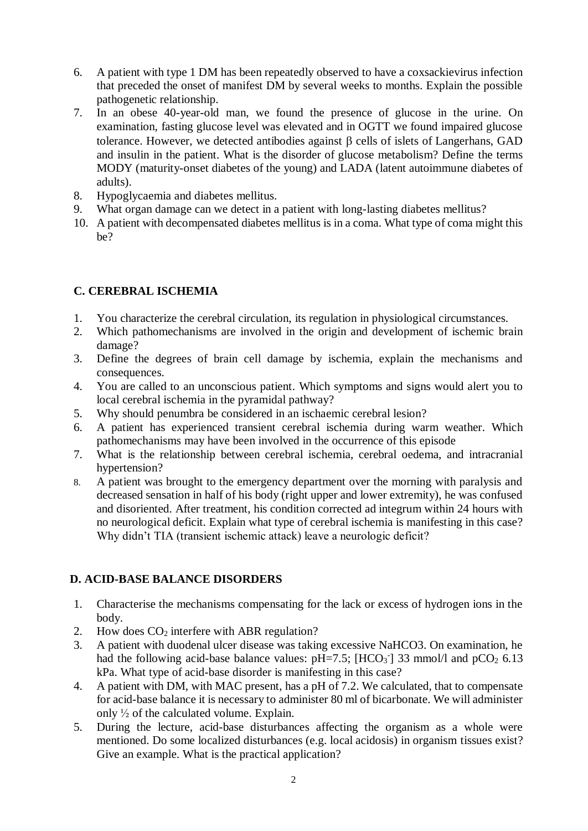- 6. A patient with type 1 DM has been repeatedly observed to have a coxsackievirus infection that preceded the onset of manifest DM by several weeks to months. Explain the possible pathogenetic relationship.
- 7. In an obese 40-year-old man, we found the presence of glucose in the urine. On examination, fasting glucose level was elevated and in OGTT we found impaired glucose tolerance. However, we detected antibodies against  $\beta$  cells of islets of Langerhans, GAD and insulin in the patient. What is the disorder of glucose metabolism? Define the terms MODY (maturity-onset diabetes of the young) and LADA (latent autoimmune diabetes of adults).
- 8. Hypoglycaemia and diabetes mellitus.
- 9. What organ damage can we detect in a patient with long-lasting diabetes mellitus?
- 10. A patient with decompensated diabetes mellitus is in a coma. What type of coma might this be?

# **C. CEREBRAL ISCHEMIA**

- 1. You characterize the cerebral circulation, its regulation in physiological circumstances.
- 2. Which pathomechanisms are involved in the origin and development of ischemic brain damage?
- 3. Define the degrees of brain cell damage by ischemia, explain the mechanisms and consequences.
- 4. You are called to an unconscious patient. Which symptoms and signs would alert you to local cerebral ischemia in the pyramidal pathway?
- 5. Why should penumbra be considered in an ischaemic cerebral lesion?
- 6. A patient has experienced transient cerebral ischemia during warm weather. Which pathomechanisms may have been involved in the occurrence of this episode
- 7. What is the relationship between cerebral ischemia, cerebral oedema, and intracranial hypertension?
- 8. A patient was brought to the emergency department over the morning with paralysis and decreased sensation in half of his body (right upper and lower extremity), he was confused and disoriented. After treatment, his condition corrected ad integrum within 24 hours with no neurological deficit. Explain what type of cerebral ischemia is manifesting in this case? Why didn't TIA (transient ischemic attack) leave a neurologic deficit?

# **D. ACID-BASE BALANCE DISORDERS**

- 1. Characterise the mechanisms compensating for the lack or excess of hydrogen ions in the body.
- 2. How does  $CO<sub>2</sub>$  interfere with ABR regulation?
- 3. A patient with duodenal ulcer disease was taking excessive NaHCO3. On examination, he had the following acid-base balance values:  $pH=7.5$ ;  $[HCO<sub>3</sub>]<sup>33</sup>$  mmol/l and  $pCO<sub>2</sub>$  6.13 kPa. What type of acid-base disorder is manifesting in this case?
- 4. A patient with DM, with MAC present, has a pH of 7.2. We calculated, that to compensate for acid-base balance it is necessary to administer 80 ml of bicarbonate. We will administer only ½ of the calculated volume. Explain.
- 5. During the lecture, acid-base disturbances affecting the organism as a whole were mentioned. Do some localized disturbances (e.g. local acidosis) in organism tissues exist? Give an example. What is the practical application?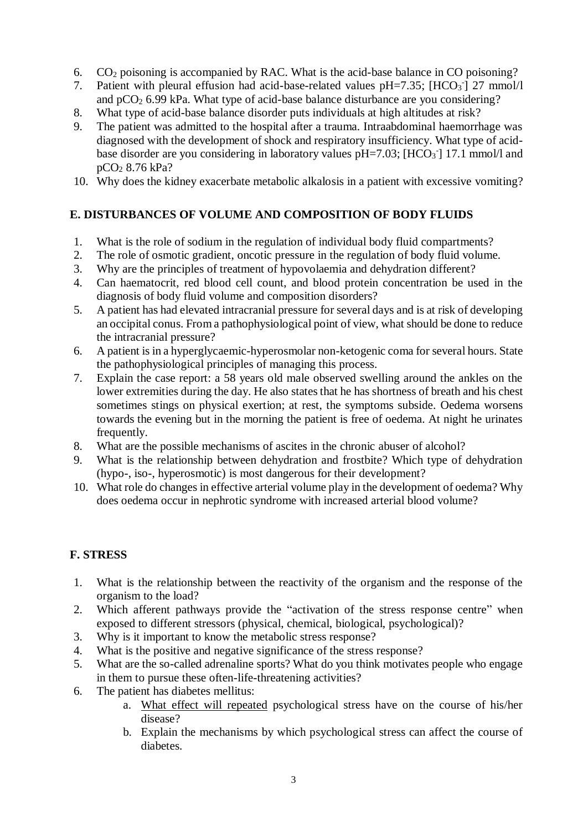- 6. CO<sup>2</sup> poisoning is accompanied by RAC. What is the acid-base balance in CO poisoning?
- 7. Patient with pleural effusion had acid-base-related values  $pH=7.35$ ;  $[HCO<sub>3</sub>]<sub>27</sub> mmol/l$ and  $pCO<sub>2</sub> 6.99$  kPa. What type of acid-base balance disturbance are you considering?
- 8. What type of acid-base balance disorder puts individuals at high altitudes at risk?
- 9. The patient was admitted to the hospital after a trauma. Intraabdominal haemorrhage was diagnosed with the development of shock and respiratory insufficiency. What type of acidbase disorder are you considering in laboratory values  $pH=7.03$ ;  $[HCO<sub>3</sub>$ <sup>-</sup>] 17.1 mmol/l and pCO<sup>2</sup> 8.76 kPa?
- 10. Why does the kidney exacerbate metabolic alkalosis in a patient with excessive vomiting?

# **E. DISTURBANCES OF VOLUME AND COMPOSITION OF BODY FLUIDS**

- 1. What is the role of sodium in the regulation of individual body fluid compartments?
- 2. The role of osmotic gradient, oncotic pressure in the regulation of body fluid volume.
- 3. Why are the principles of treatment of hypovolaemia and dehydration different?
- 4. Can haematocrit, red blood cell count, and blood protein concentration be used in the diagnosis of body fluid volume and composition disorders?
- 5. A patient has had elevated intracranial pressure for several days and is at risk of developing an occipital conus. From a pathophysiological point of view, what should be done to reduce the intracranial pressure?
- 6. A patient is in a hyperglycaemic-hyperosmolar non-ketogenic coma for several hours. State the pathophysiological principles of managing this process.
- 7. Explain the case report: a 58 years old male observed swelling around the ankles on the lower extremities during the day. He also states that he has shortness of breath and his chest sometimes stings on physical exertion; at rest, the symptoms subside. Oedema worsens towards the evening but in the morning the patient is free of oedema. At night he urinates frequently.
- 8. What are the possible mechanisms of ascites in the chronic abuser of alcohol?
- 9. What is the relationship between dehydration and frostbite? Which type of dehydration (hypo-, iso-, hyperosmotic) is most dangerous for their development?
- 10. What role do changes in effective arterial volume play in the development of oedema? Why does oedema occur in nephrotic syndrome with increased arterial blood volume?

# **F. STRESS**

- 1. What is the relationship between the reactivity of the organism and the response of the organism to the load?
- 2. Which afferent pathways provide the "activation of the stress response centre" when exposed to different stressors (physical, chemical, biological, psychological)?
- 3. Why is it important to know the metabolic stress response?
- 4. What is the positive and negative significance of the stress response?
- 5. What are the so-called adrenaline sports? What do you think motivates people who engage in them to pursue these often-life-threatening activities?
- 6. The patient has diabetes mellitus:
	- a. What effect will repeated psychological stress have on the course of his/her disease?
	- b. Explain the mechanisms by which psychological stress can affect the course of diabetes.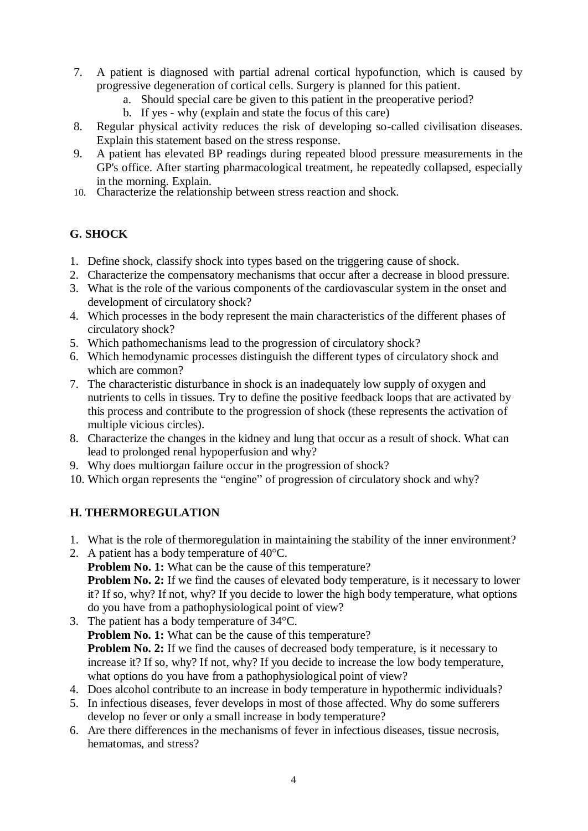- 7. A patient is diagnosed with partial adrenal cortical hypofunction, which is caused by progressive degeneration of cortical cells. Surgery is planned for this patient.
	- a. Should special care be given to this patient in the preoperative period?
	- b. If yes why (explain and state the focus of this care)
- 8. Regular physical activity reduces the risk of developing so-called civilisation diseases. Explain this statement based on the stress response.
- 9. A patient has elevated BP readings during repeated blood pressure measurements in the GP's office. After starting pharmacological treatment, he repeatedly collapsed, especially in the morning. Explain.
- 10. Characterize the relationship between stress reaction and shock.

## **G. SHOCK**

- 1. Define shock, classify shock into types based on the triggering cause of shock.
- 2. Characterize the compensatory mechanisms that occur after a decrease in blood pressure.
- 3. What is the role of the various components of the cardiovascular system in the onset and development of circulatory shock?
- 4. Which processes in the body represent the main characteristics of the different phases of circulatory shock?
- 5. Which pathomechanisms lead to the progression of circulatory shock?
- 6. Which hemodynamic processes distinguish the different types of circulatory shock and which are common?
- 7. The characteristic disturbance in shock is an inadequately low supply of oxygen and nutrients to cells in tissues. Try to define the positive feedback loops that are activated by this process and contribute to the progression of shock (these represents the activation of multiple vicious circles).
- 8. Characterize the changes in the kidney and lung that occur as a result of shock. What can lead to prolonged renal hypoperfusion and why?
- 9. Why does multiorgan failure occur in the progression of shock?
- 10. Which organ represents the "engine" of progression of circulatory shock and why?

### **H. THERMOREGULATION**

- 1. What is the role of thermoregulation in maintaining the stability of the inner environment?
- 2. A patient has a body temperature of 40°C. **Problem No. 1:** What can be the cause of this temperature? **Problem No. 2:** If we find the causes of elevated body temperature, is it necessary to lower it? If so, why? If not, why? If you decide to lower the high body temperature, what options do you have from a pathophysiological point of view?
- 3. The patient has a body temperature of 34°C. **Problem No. 1:** What can be the cause of this temperature? **Problem No. 2:** If we find the causes of decreased body temperature, is it necessary to increase it? If so, why? If not, why? If you decide to increase the low body temperature, what options do you have from a pathophysiological point of view?
- 4. Does alcohol contribute to an increase in body temperature in hypothermic individuals?
- 5. In infectious diseases, fever develops in most of those affected. Why do some sufferers develop no fever or only a small increase in body temperature?
- 6. Are there differences in the mechanisms of fever in infectious diseases, tissue necrosis, hematomas, and stress?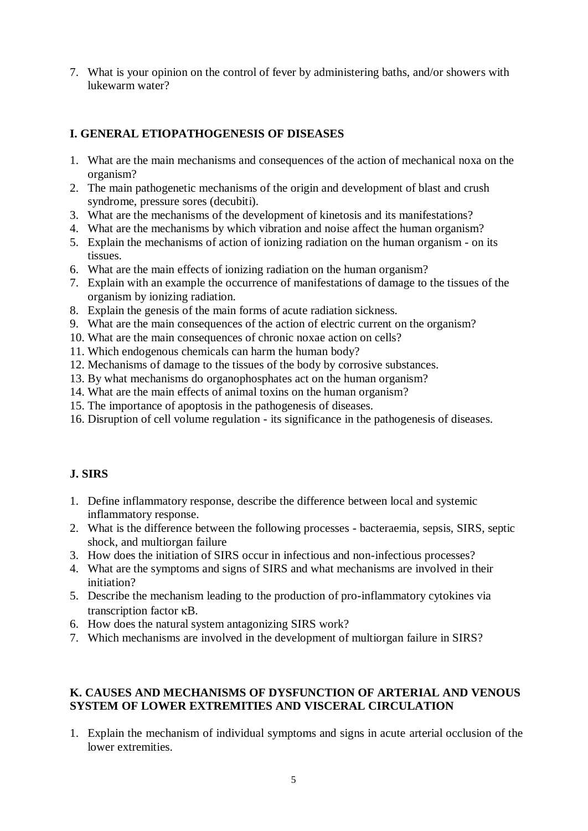7. What is your opinion on the control of fever by administering baths, and/or showers with lukewarm water?

## **I. GENERAL ETIOPATHOGENESIS OF DISEASES**

- 1. What are the main mechanisms and consequences of the action of mechanical noxa on the organism?
- 2. The main pathogenetic mechanisms of the origin and development of blast and crush syndrome, pressure sores (decubiti).
- 3. What are the mechanisms of the development of kinetosis and its manifestations?
- 4. What are the mechanisms by which vibration and noise affect the human organism?
- 5. Explain the mechanisms of action of ionizing radiation on the human organism on its tissues.
- 6. What are the main effects of ionizing radiation on the human organism?
- 7. Explain with an example the occurrence of manifestations of damage to the tissues of the organism by ionizing radiation.
- 8. Explain the genesis of the main forms of acute radiation sickness.
- 9. What are the main consequences of the action of electric current on the organism?
- 10. What are the main consequences of chronic noxae action on cells?
- 11. Which endogenous chemicals can harm the human body?
- 12. Mechanisms of damage to the tissues of the body by corrosive substances.
- 13. By what mechanisms do organophosphates act on the human organism?
- 14. What are the main effects of animal toxins on the human organism?
- 15. The importance of apoptosis in the pathogenesis of diseases.
- 16. Disruption of cell volume regulation its significance in the pathogenesis of diseases.

### **J. SIRS**

- 1. Define inflammatory response, describe the difference between local and systemic inflammatory response.
- 2. What is the difference between the following processes bacteraemia, sepsis, SIRS, septic shock, and multiorgan failure
- 3. How does the initiation of SIRS occur in infectious and non-infectious processes?
- 4. What are the symptoms and signs of SIRS and what mechanisms are involved in their initiation?
- 5. Describe the mechanism leading to the production of pro-inflammatory cytokines via transcription factor  $\kappa$ B.
- 6. How does the natural system antagonizing SIRS work?
- 7. Which mechanisms are involved in the development of multiorgan failure in SIRS?

#### **K. CAUSES AND MECHANISMS OF DYSFUNCTION OF ARTERIAL AND VENOUS SYSTEM OF LOWER EXTREMITIES AND VISCERAL CIRCULATION**

1. Explain the mechanism of individual symptoms and signs in acute arterial occlusion of the lower extremities.